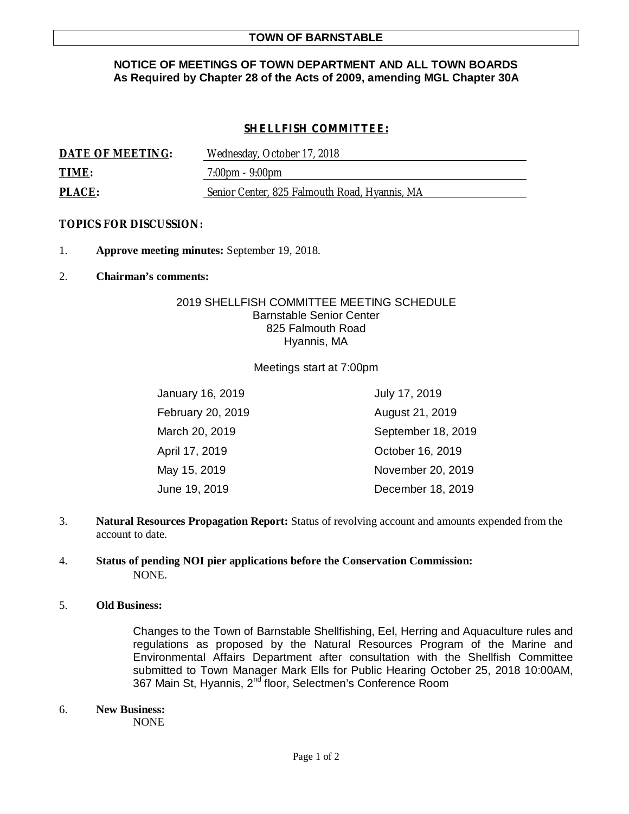## **NOTICE OF MEETINGS OF TOWN DEPARTMENT AND ALL TOWN BOARDS As Required by Chapter 28 of the Acts of 2009, amending MGL Chapter 30A**

# *SHELLFISH COMMITTEE:*

| DATE OF MEETING: | Wednesday, October 17, 2018                   |
|------------------|-----------------------------------------------|
| TIME:            | $7:00 \text{pm} - 9:00 \text{pm}$             |
| PLACE:           | Senior Center, 825 Falmouth Road, Hyannis, MA |

### **TOPICS FOR DISCUSSION:**

- 1. **Approve meeting minutes:** September 19, 2018.
- 2. **Chairman's comments:**

## 2019 SHELLFISH COMMITTEE MEETING SCHEDULE Barnstable Senior Center 825 Falmouth Road Hyannis, MA

#### Meetings start at 7:00pm

| January 16, 2019  | July 17, 2019      |
|-------------------|--------------------|
| February 20, 2019 | August 21, 2019    |
| March 20, 2019    | September 18, 2019 |
| April 17, 2019    | October 16, 2019   |
| May 15, 2019      | November 20, 2019  |
| June 19, 2019     | December 18, 2019  |

3. **Natural Resources Propagation Report:** Status of revolving account and amounts expended from the account to date.

## 4. **Status of pending NOI pier applications before the Conservation Commission:** NONE.

### 5. **Old Business:**

Changes to the Town of Barnstable Shellfishing, Eel, Herring and Aquaculture rules and regulations as proposed by the Natural Resources Program of the Marine and Environmental Affairs Department after consultation with the Shellfish Committee submitted to Town Manager Mark Ells for Public Hearing October 25, 2018 10:00AM, 367 Main St, Hyannis, 2<sup>nd</sup> floor, Selectmen's Conference Room

6. **New Business:**

NONE